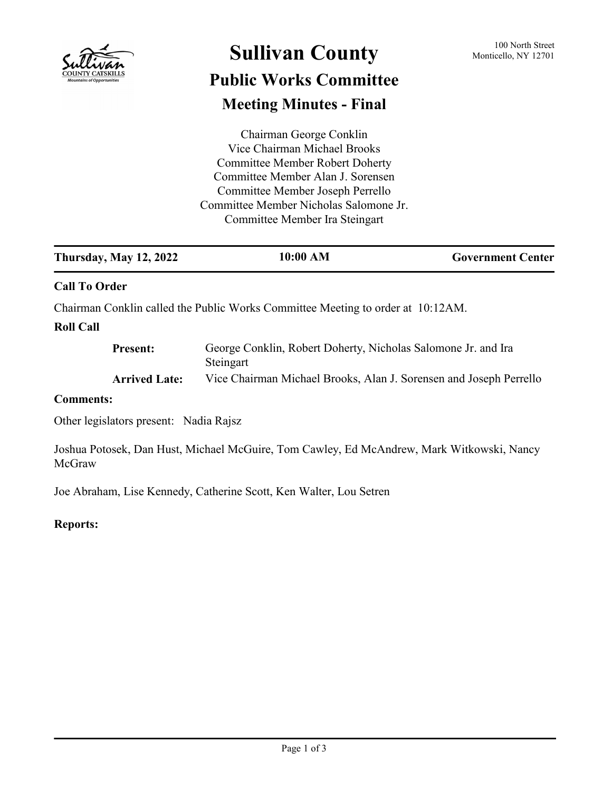

# Sullivan County 100 North Street **Public Works Committee**

# **Meeting Minutes - Final**

Chairman George Conklin Vice Chairman Michael Brooks Committee Member Robert Doherty Committee Member Alan J. Sorensen Committee Member Joseph Perrello Committee Member Nicholas Salomone Jr. Committee Member Ira Steingart

| <b>Thursday, May 12, 2022</b> | 10:00 AM | <b>Government Center</b> |
|-------------------------------|----------|--------------------------|
| <b>Call To Order</b>          |          |                          |

Chairman Conklin called the Public Works Committee Meeting to order at 10:12AM.

# **Roll Call**

| <b>Present:</b>      | George Conklin, Robert Doherty, Nicholas Salomone Jr. and Ira      |  |
|----------------------|--------------------------------------------------------------------|--|
|                      | Steingart                                                          |  |
| <b>Arrived Late:</b> | Vice Chairman Michael Brooks, Alan J. Sorensen and Joseph Perrello |  |

### **Comments:**

Other legislators present: Nadia Rajsz

Joshua Potosek, Dan Hust, Michael McGuire, Tom Cawley, Ed McAndrew, Mark Witkowski, Nancy McGraw

Joe Abraham, Lise Kennedy, Catherine Scott, Ken Walter, Lou Setren

# **Reports:**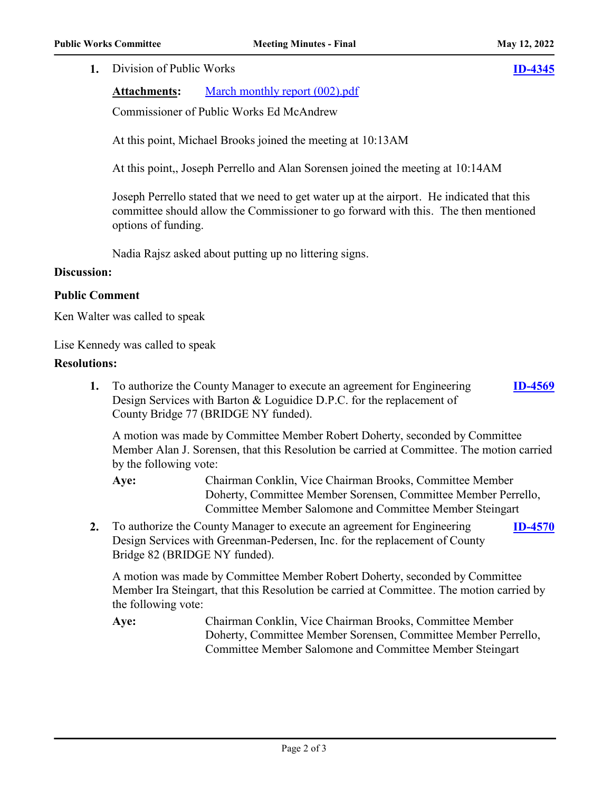#### **1.** Division of Public Works **[ID-4345](http://sullivancountyny.legistar.com/gateway.aspx?m=l&id=/matter.aspx?key=1371)**

Attachments: [March monthly report \(002\).pdf](http://sullivancountyny.legistar.com/gateway.aspx?M=F&ID=bed0bffc-a57f-4fbc-ae19-7337775c25d9.pdf)

Commissioner of Public Works Ed McAndrew

At this point, Michael Brooks joined the meeting at 10:13AM

At this point,, Joseph Perrello and Alan Sorensen joined the meeting at 10:14AM

Joseph Perrello stated that we need to get water up at the airport. He indicated that this committee should allow the Commissioner to go forward with this. The then mentioned options of funding.

Nadia Rajsz asked about putting up no littering signs.

#### **Discussion:**

#### **Public Comment**

Ken Walter was called to speak

Lise Kennedy was called to speak

#### **Resolutions:**

**1.** To authorize the County Manager to execute an agreement for Engineering Design Services with Barton & Loguidice D.P.C. for the replacement of County Bridge 77 (BRIDGE NY funded). **[ID-4569](http://sullivancountyny.legistar.com/gateway.aspx?m=l&id=/matter.aspx?key=1595)**

A motion was made by Committee Member Robert Doherty, seconded by Committee Member Alan J. Sorensen, that this Resolution be carried at Committee. The motion carried by the following vote:

Chairman Conklin, Vice Chairman Brooks, Committee Member Doherty, Committee Member Sorensen, Committee Member Perrello, Committee Member Salomone and Committee Member Steingart **Aye:**

**2.** To authorize the County Manager to execute an agreement for Engineering Design Services with Greenman-Pedersen, Inc. for the replacement of County Bridge 82 (BRIDGE NY funded). **[ID-4570](http://sullivancountyny.legistar.com/gateway.aspx?m=l&id=/matter.aspx?key=1596)**

A motion was made by Committee Member Robert Doherty, seconded by Committee Member Ira Steingart, that this Resolution be carried at Committee. The motion carried by the following vote:

Chairman Conklin, Vice Chairman Brooks, Committee Member Doherty, Committee Member Sorensen, Committee Member Perrello, Committee Member Salomone and Committee Member Steingart **Aye:**